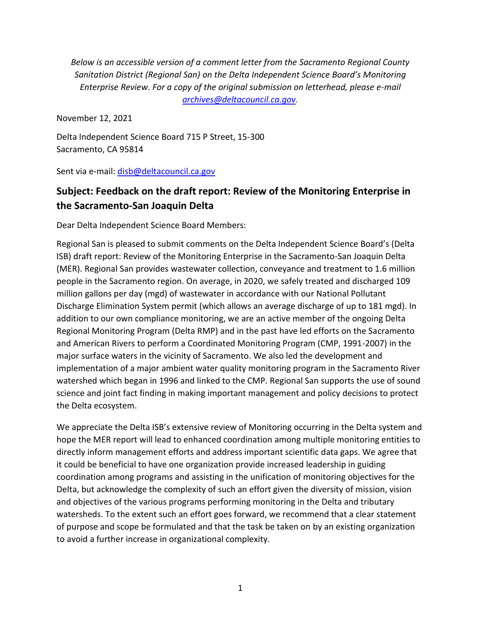*Below is an accessible version of a comment letter from the Sacramento Regional County Sanitation District (Regional San) on the Delta Independent Science Board's Monitoring Enterprise Review. For a copy of the original submission on letterhead, please e-mail [archives@deltacouncil.ca.gov.](mailto:archives@deltacouncil.ca.gov)*

November 12, 2021

Delta Independent Science Board 715 P Street, 15-300 Sacramento, CA 95814

Sent via e-mail: [disb@deltacouncil.ca.gov](mailto:disb@deltacouncil.ca.gov)

## **Subject: Feedback on the draft report: Review of the Monitoring Enterprise in the Sacramento-San Joaquin Delta**

Dear Delta Independent Science Board Members:

Regional San is pleased to submit comments on the Delta Independent Science Board's (Delta ISB) draft report: Review of the Monitoring Enterprise in the Sacramento-San Joaquin Delta (MER). Regional San provides wastewater collection, conveyance and treatment to 1.6 million people in the Sacramento region. On average, in 2020, we safely treated and discharged 109 million gallons per day (mgd) of wastewater in accordance with our National Pollutant Discharge Elimination System permit (which allows an average discharge of up to 181 mgd). In addition to our own compliance monitoring, we are an active member of the ongoing Delta Regional Monitoring Program (Delta RMP) and in the past have led efforts on the Sacramento and American Rivers to perform a Coordinated Monitoring Program (CMP, 1991-2007) in the major surface waters in the vicinity of Sacramento. We also led the development and implementation of a major ambient water quality monitoring program in the Sacramento River watershed which began in 1996 and linked to the CMP. Regional San supports the use of sound science and joint fact finding in making important management and policy decisions to protect the Delta ecosystem.

We appreciate the Delta ISB's extensive review of Monitoring occurring in the Delta system and hope the MER report will lead to enhanced coordination among multiple monitoring entities to directly inform management efforts and address important scientific data gaps. We agree that it could be beneficial to have one organization provide increased leadership in guiding coordination among programs and assisting in the unification of monitoring objectives for the Delta, but acknowledge the complexity of such an effort given the diversity of mission, vision and objectives of the various programs performing monitoring in the Delta and tributary watersheds. To the extent such an effort goes forward, we recommend that a clear statement of purpose and scope be formulated and that the task be taken on by an existing organization to avoid a further increase in organizational complexity.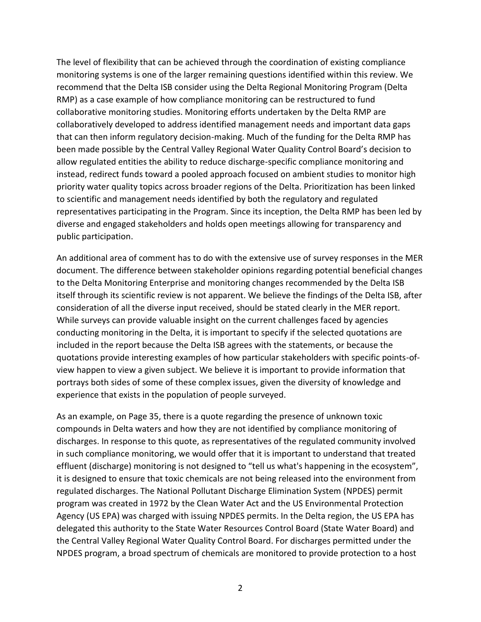The level of flexibility that can be achieved through the coordination of existing compliance monitoring systems is one of the larger remaining questions identified within this review. We recommend that the Delta ISB consider using the Delta Regional Monitoring Program (Delta RMP) as a case example of how compliance monitoring can be restructured to fund collaborative monitoring studies. Monitoring efforts undertaken by the Delta RMP are collaboratively developed to address identified management needs and important data gaps that can then inform regulatory decision-making. Much of the funding for the Delta RMP has been made possible by the Central Valley Regional Water Quality Control Board's decision to allow regulated entities the ability to reduce discharge-specific compliance monitoring and instead, redirect funds toward a pooled approach focused on ambient studies to monitor high priority water quality topics across broader regions of the Delta. Prioritization has been linked to scientific and management needs identified by both the regulatory and regulated representatives participating in the Program. Since its inception, the Delta RMP has been led by diverse and engaged stakeholders and holds open meetings allowing for transparency and public participation.

An additional area of comment has to do with the extensive use of survey responses in the MER document. The difference between stakeholder opinions regarding potential beneficial changes to the Delta Monitoring Enterprise and monitoring changes recommended by the Delta ISB itself through its scientific review is not apparent. We believe the findings of the Delta ISB, after consideration of all the diverse input received, should be stated clearly in the MER report. While surveys can provide valuable insight on the current challenges faced by agencies conducting monitoring in the Delta, it is important to specify if the selected quotations are included in the report because the Delta ISB agrees with the statements, or because the quotations provide interesting examples of how particular stakeholders with specific points-ofview happen to view a given subject. We believe it is important to provide information that portrays both sides of some of these complex issues, given the diversity of knowledge and experience that exists in the population of people surveyed.

As an example, on Page 35, there is a quote regarding the presence of unknown toxic compounds in Delta waters and how they are not identified by compliance monitoring of discharges. In response to this quote, as representatives of the regulated community involved in such compliance monitoring, we would offer that it is important to understand that treated effluent (discharge) monitoring is not designed to "tell us what's happening in the ecosystem", it is designed to ensure that toxic chemicals are not being released into the environment from regulated discharges. The National Pollutant Discharge Elimination System (NPDES) permit program was created in 1972 by the Clean Water Act and the US Environmental Protection Agency (US EPA) was charged with issuing NPDES permits. In the Delta region, the US EPA has delegated this authority to the State Water Resources Control Board (State Water Board) and the Central Valley Regional Water Quality Control Board. For discharges permitted under the NPDES program, a broad spectrum of chemicals are monitored to provide protection to a host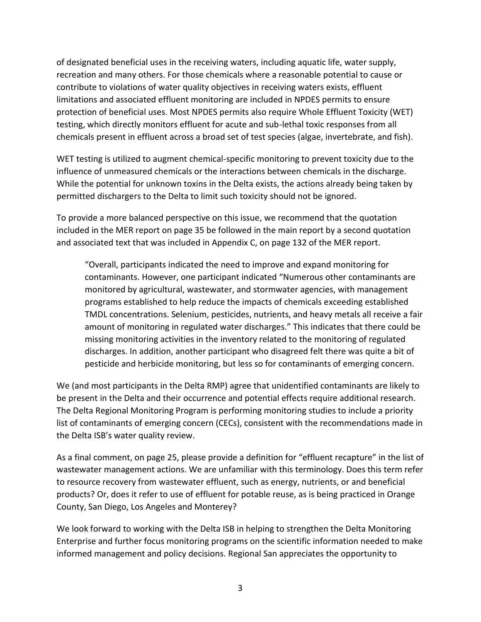of designated beneficial uses in the receiving waters, including aquatic life, water supply, recreation and many others. For those chemicals where a reasonable potential to cause or contribute to violations of water quality objectives in receiving waters exists, effluent limitations and associated effluent monitoring are included in NPDES permits to ensure protection of beneficial uses. Most NPDES permits also require Whole Effluent Toxicity (WET) testing, which directly monitors effluent for acute and sub-lethal toxic responses from all chemicals present in effluent across a broad set of test species (algae, invertebrate, and fish).

WET testing is utilized to augment chemical-specific monitoring to prevent toxicity due to the influence of unmeasured chemicals or the interactions between chemicals in the discharge. While the potential for unknown toxins in the Delta exists, the actions already being taken by permitted dischargers to the Delta to limit such toxicity should not be ignored.

To provide a more balanced perspective on this issue, we recommend that the quotation included in the MER report on page 35 be followed in the main report by a second quotation and associated text that was included in Appendix C, on page 132 of the MER report.

"Overall, participants indicated the need to improve and expand monitoring for contaminants. However, one participant indicated "Numerous other contaminants are monitored by agricultural, wastewater, and stormwater agencies, with management programs established to help reduce the impacts of chemicals exceeding established TMDL concentrations. Selenium, pesticides, nutrients, and heavy metals all receive a fair amount of monitoring in regulated water discharges." This indicates that there could be missing monitoring activities in the inventory related to the monitoring of regulated discharges. In addition, another participant who disagreed felt there was quite a bit of pesticide and herbicide monitoring, but less so for contaminants of emerging concern.

We (and most participants in the Delta RMP) agree that unidentified contaminants are likely to be present in the Delta and their occurrence and potential effects require additional research. The Delta Regional Monitoring Program is performing monitoring studies to include a priority list of contaminants of emerging concern (CECs), consistent with the recommendations made in the Delta ISB's water quality review.

As a final comment, on page 25, please provide a definition for "effluent recapture" in the list of wastewater management actions. We are unfamiliar with this terminology. Does this term refer to resource recovery from wastewater effluent, such as energy, nutrients, or and beneficial products? Or, does it refer to use of effluent for potable reuse, as is being practiced in Orange County, San Diego, Los Angeles and Monterey?

We look forward to working with the Delta ISB in helping to strengthen the Delta Monitoring Enterprise and further focus monitoring programs on the scientific information needed to make informed management and policy decisions. Regional San appreciates the opportunity to